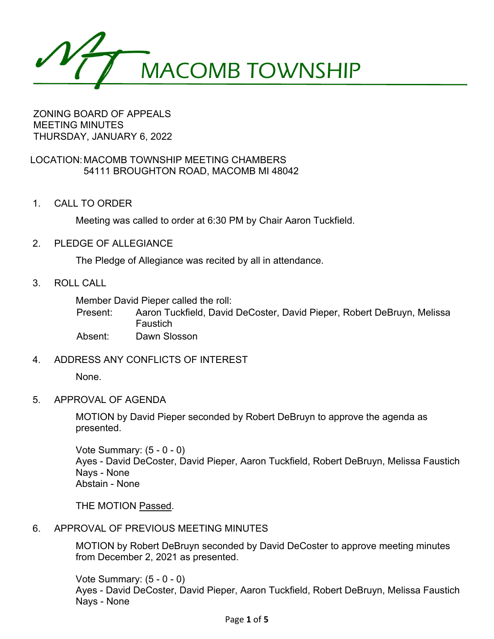MACOMB TOWNSHIP

ZONING BOARD OF APPEALS MEETING MINUTES THURSDAY, JANUARY 6, 2022

## LOCATION:MACOMB TOWNSHIP MEETING CHAMBERS 54111 BROUGHTON ROAD, MACOMB MI 48042

1. CALL TO ORDER

Meeting was called to order at 6:30 PM by Chair Aaron Tuckfield.

2. PLEDGE OF ALLEGIANCE

The Pledge of Allegiance was recited by all in attendance.

3. ROLL CALL

Member David Pieper called the roll:

Present: Aaron Tuckfield, David DeCoster, David Pieper, Robert DeBruyn, Melissa **Faustich** 

Absent: Dawn Slosson

4. ADDRESS ANY CONFLICTS OF INTEREST

None.

5. APPROVAL OF AGENDA

MOTION by David Pieper seconded by Robert DeBruyn to approve the agenda as presented.

Vote Summary: (5 - 0 - 0) Ayes - David DeCoster, David Pieper, Aaron Tuckfield, Robert DeBruyn, Melissa Faustich Nays - None Abstain - None

THE MOTION Passed.

6. APPROVAL OF PREVIOUS MEETING MINUTES

MOTION by Robert DeBruyn seconded by David DeCoster to approve meeting minutes from December 2, 2021 as presented.

Vote Summary: (5 - 0 - 0) Ayes - David DeCoster, David Pieper, Aaron Tuckfield, Robert DeBruyn, Melissa Faustich Nays - None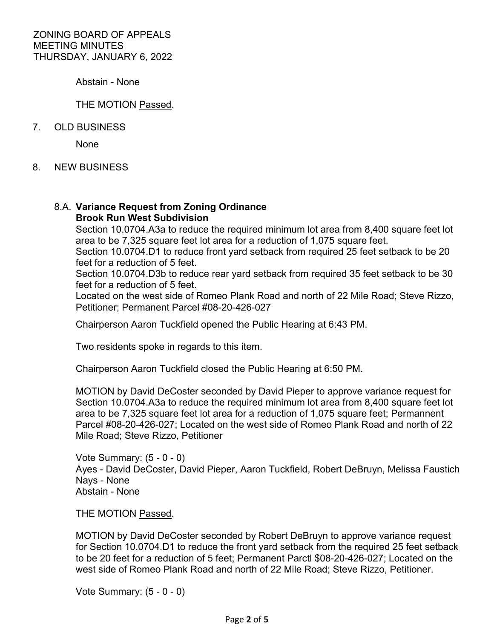Abstain - None

## THE MOTION Passed.

## 7. OLD BUSINESS

None

8. NEW BUSINESS

### 8.A. **Variance Request from Zoning Ordinance Brook Run West Subdivision**

Section 10.0704.A3a to reduce the required minimum lot area from 8,400 square feet lot area to be 7,325 square feet lot area for a reduction of 1,075 square feet.

Section 10.0704.D1 to reduce front yard setback from required 25 feet setback to be 20 feet for a reduction of 5 feet.

Section 10.0704.D3b to reduce rear yard setback from required 35 feet setback to be 30 feet for a reduction of 5 feet.

Located on the west side of Romeo Plank Road and north of 22 Mile Road; Steve Rizzo, Petitioner; Permanent Parcel #08-20-426-027

Chairperson Aaron Tuckfield opened the Public Hearing at 6:43 PM.

Two residents spoke in regards to this item.

Chairperson Aaron Tuckfield closed the Public Hearing at 6:50 PM.

MOTION by David DeCoster seconded by David Pieper to approve variance request for Section 10.0704.A3a to reduce the required minimum lot area from 8,400 square feet lot area to be 7,325 square feet lot area for a reduction of 1,075 square feet; Permannent Parcel #08-20-426-027; Located on the west side of Romeo Plank Road and north of 22 Mile Road; Steve Rizzo, Petitioner

Vote Summary: (5 - 0 - 0) Ayes - David DeCoster, David Pieper, Aaron Tuckfield, Robert DeBruyn, Melissa Faustich Nays - None Abstain - None

THE MOTION Passed.

MOTION by David DeCoster seconded by Robert DeBruyn to approve variance request for Section 10.0704.D1 to reduce the front yard setback from the required 25 feet setback to be 20 feet for a reduction of 5 feet; Permanent Parctl \$08-20-426-027; Located on the west side of Romeo Plank Road and north of 22 Mile Road; Steve Rizzo, Petitioner.

Vote Summary: (5 - 0 - 0)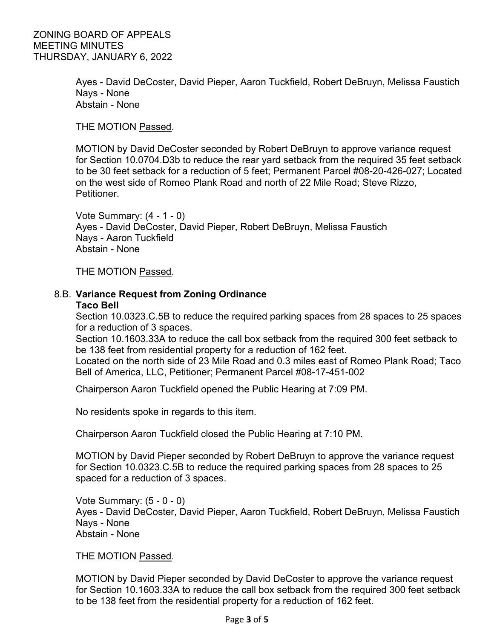Ayes - David DeCoster, David Pieper, Aaron Tuckfield, Robert DeBruyn, Melissa Faustich Nays - None Abstain - None

THE MOTION Passed.

MOTION by David DeCoster seconded by Robert DeBruyn to approve variance request for Section 10.0704.D3b to reduce the rear yard setback from the required 35 feet setback to be 30 feet setback for a reduction of 5 feet; Permanent Parcel #08-20-426-027; Located on the west side of Romeo Plank Road and north of 22 Mile Road; Steve Rizzo, **Petitioner** 

Vote Summary: (4 - 1 - 0) Ayes - David DeCoster, David Pieper, Robert DeBruyn, Melissa Faustich Nays - Aaron Tuckfield Abstain - None

THE MOTION Passed.

# 8.B. **Variance Request from Zoning Ordinance**

#### **Taco Bell**

Section 10.0323.C.5B to reduce the required parking spaces from 28 spaces to 25 spaces for a reduction of 3 spaces.

Section 10.1603.33A to reduce the call box setback from the required 300 feet setback to be 138 feet from residential property for a reduction of 162 feet.

Located on the north side of 23 Mile Road and 0.3 miles east of Romeo Plank Road; Taco Bell of America, LLC, Petitioner; Permanent Parcel #08-17-451-002

Chairperson Aaron Tuckfield opened the Public Hearing at 7:09 PM.

No residents spoke in regards to this item.

Chairperson Aaron Tuckfield closed the Public Hearing at 7:10 PM.

MOTION by David Pieper seconded by Robert DeBruyn to approve the variance request for Section 10.0323.C.5B to reduce the required parking spaces from 28 spaces to 25 spaced for a reduction of 3 spaces.

Vote Summary: (5 - 0 - 0) Ayes - David DeCoster, David Pieper, Aaron Tuckfield, Robert DeBruyn, Melissa Faustich Nays - None Abstain - None

THE MOTION Passed.

MOTION by David Pieper seconded by David DeCoster to approve the variance request for Section 10.1603.33A to reduce the call box setback from the required 300 feet setback to be 138 feet from the residential property for a reduction of 162 feet.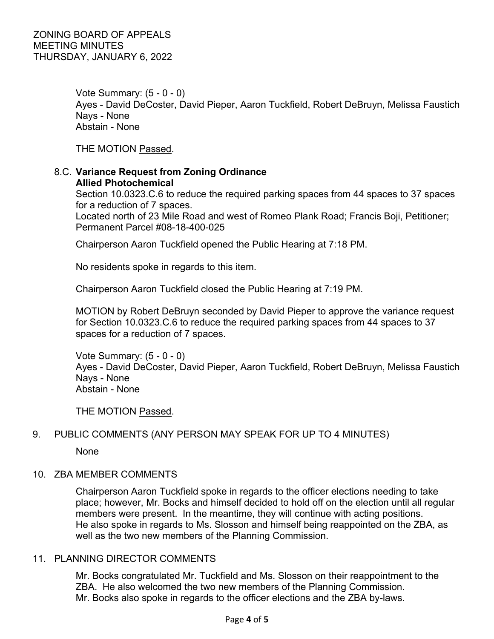Vote Summary: (5 - 0 - 0) Ayes - David DeCoster, David Pieper, Aaron Tuckfield, Robert DeBruyn, Melissa Faustich Nays - None Abstain - None

THE MOTION Passed.

# 8.C. **Variance Request from Zoning Ordinance Allied Photochemical**

Section 10.0323.C.6 to reduce the required parking spaces from 44 spaces to 37 spaces for a reduction of 7 spaces.

Located north of 23 Mile Road and west of Romeo Plank Road; Francis Boji, Petitioner; Permanent Parcel #08-18-400-025

Chairperson Aaron Tuckfield opened the Public Hearing at 7:18 PM.

No residents spoke in regards to this item.

Chairperson Aaron Tuckfield closed the Public Hearing at 7:19 PM.

MOTION by Robert DeBruyn seconded by David Pieper to approve the variance request for Section 10.0323.C.6 to reduce the required parking spaces from 44 spaces to 37 spaces for a reduction of 7 spaces.

Vote Summary: (5 - 0 - 0) Ayes - David DeCoster, David Pieper, Aaron Tuckfield, Robert DeBruyn, Melissa Faustich Nays - None Abstain - None

THE MOTION Passed.

## 9. PUBLIC COMMENTS (ANY PERSON MAY SPEAK FOR UP TO 4 MINUTES)

None

## 10. ZBA MEMBER COMMENTS

Chairperson Aaron Tuckfield spoke in regards to the officer elections needing to take place; however, Mr. Bocks and himself decided to hold off on the election until all regular members were present. In the meantime, they will continue with acting positions. He also spoke in regards to Ms. Slosson and himself being reappointed on the ZBA, as well as the two new members of the Planning Commission.

### 11. PLANNING DIRECTOR COMMENTS

Mr. Bocks congratulated Mr. Tuckfield and Ms. Slosson on their reappointment to the ZBA. He also welcomed the two new members of the Planning Commission. Mr. Bocks also spoke in regards to the officer elections and the ZBA by-laws.